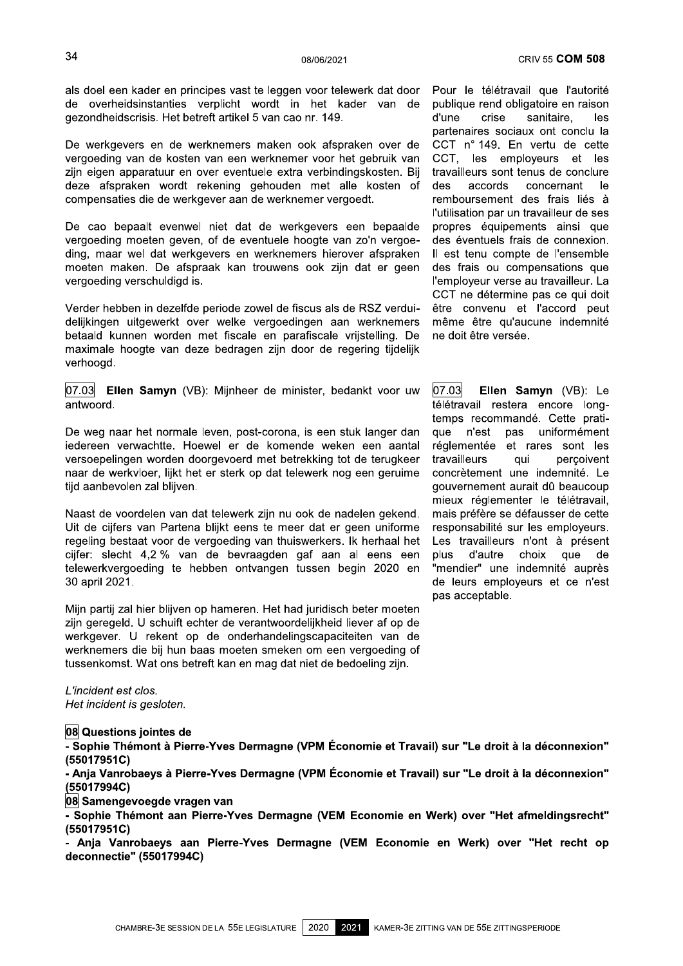08 Questions jointes de

- Sophie Thémont à Pierre-Yves Dermagne (VPM Économie et Travail) sur "Le droit à la déconnexion"  $(55017951C)$ 

- Anja Vanrobaeys à Pierre-Yves Dermagne (VPM Économie et Travail) sur "Le droit à la déconnexion" (55017994C)

08 Samengevoegde vragen van

- Sophie Thémont aan Pierre-Yves Dermagne (VEM Economie en Werk) over "Het afmeldingsrecht"  $(55017951C)$ 

- Anja Vanrobaeys aan Pierre-Yves Dermagne (VEM Economie en Werk) over "Het recht op deconnectie" (55017994C)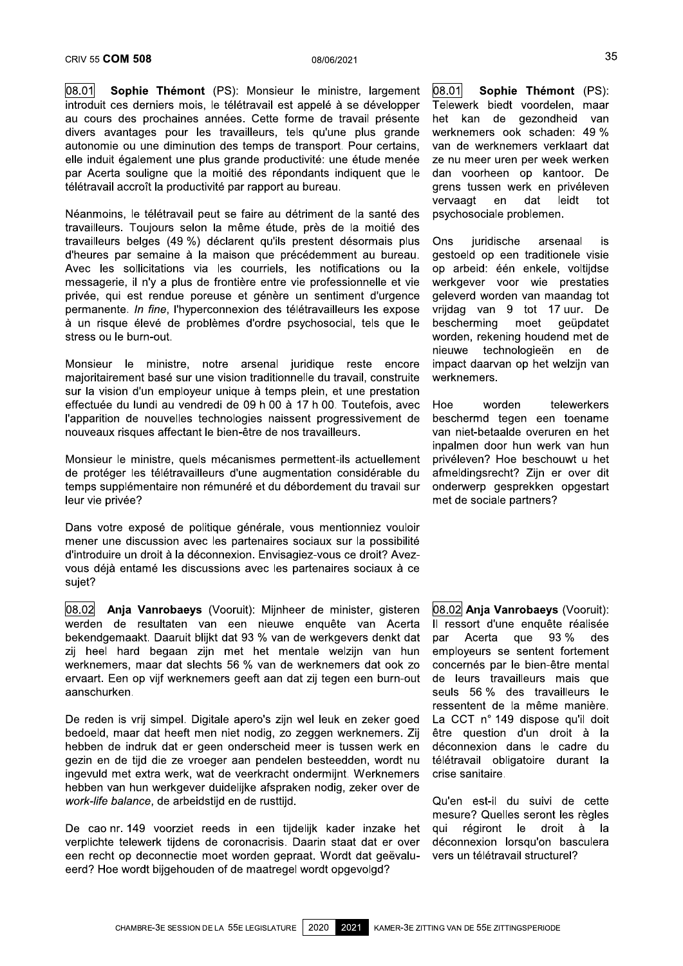$|08.01|$ Sophie Thémont (PS): Monsieur le ministre, largement introduit ces derniers mois, le télétravail est appelé à se développer au cours des prochaines années. Cette forme de travail présente divers avantages pour les travailleurs, tels qu'une plus grande autonomie ou une diminution des temps de transport. Pour certains, elle induit également une plus grande productivité: une étude menée par Acerta souligne que la moitié des répondants indiquent que le télétravail accroît la productivité par rapport au bureau.

Néanmoins, le télétravail peut se faire au détriment de la santé des travailleurs. Toujours selon la même étude, près de la moitié des travailleurs belges (49 %) déclarent qu'ils prestent désormais plus d'heures par semaine à la maison que précédemment au bureau. Avec les sollicitations via les courriels, les notifications ou la messagerie, il n'y a plus de frontière entre vie professionnelle et vie privée, qui est rendue poreuse et génère un sentiment d'urgence permanente. In fine, l'hyperconnexion des télétravailleurs les expose à un risque élevé de problèmes d'ordre psychosocial, tels que le stress ou le burn-out.

Monsieur le ministre, notre arsenal juridique reste encore majoritairement basé sur une vision traditionnelle du travail, construite sur la vision d'un employeur unique à temps plein, et une prestation effectuée du lundi au vendredi de 09 h 00 à 17 h 00. Toutefois, avec l'apparition de nouvelles technologies naissent progressivement de nouveaux risques affectant le bien-être de nos travailleurs.

Monsieur le ministre, quels mécanismes permettent-ils actuellement de protéger les télétravailleurs d'une augmentation considérable du temps supplémentaire non rémunéré et du débordement du travail sur leur vie privée?

Dans votre exposé de politique générale, vous mentionniez vouloir mener une discussion avec les partenaires sociaux sur la possibilité d'introduire un droit à la déconnexion. Envisagiez-vous ce droit? Avezvous déjà entamé les discussions avec les partenaires sociaux à ce sujet?

08.02 Anja Vanrobaeys (Vooruit): Mijnheer de minister, gisteren werden de resultaten van een nieuwe enquête van Acerta bekendgemaakt. Daaruit blijkt dat 93 % van de werkgevers denkt dat zij heel hard begaan zijn met het mentale welzijn van hun werknemers, maar dat slechts 56 % van de werknemers dat ook zo ervaart. Een op vijf werknemers geeft aan dat zij tegen een burn-out aanschurken.

De reden is vrij simpel. Digitale apero's zijn wel leuk en zeker goed bedoeld, maar dat heeft men niet nodig, zo zeggen werknemers. Zij hebben de indruk dat er geen onderscheid meer is tussen werk en gezin en de tijd die ze vroeger aan pendelen besteedden, wordt nu ingevuld met extra werk, wat de veerkracht ondermijnt. Werknemers hebben van hun werkgever duidelijke afspraken nodig, zeker over de work-life balance, de arbeidstijd en de rusttijd.

De cao nr. 149 voorziet reeds in een tijdelijk kader inzake het verplichte telewerk tijdens de coronacrisis. Daarin staat dat er over een recht op deconnectie moet worden gepraat. Wordt dat geëvalueerd? Hoe wordt bijgehouden of de maatregel wordt opgevolgd?

 $08.01$ Sophie Thémont (PS): Telewerk biedt voordelen, maar het kan de gezondheid van werknemers ook schaden: 49 % van de werknemers verklaart dat ze nu meer uren per week werken dan voorheen op kantoor. De grens tussen werk en privéleven vervaagt dat leidt tot en psychosociale problemen.

Ons juridische arsenaal is gestoeld op een traditionele visie op arbeid: één enkele, voltijdse werkgever voor wie prestaties geleverd worden van maandag tot vriidag van 9 tot 17 uur. De bescherming moet qeüpdatet worden, rekening houdend met de nieuwe technologieën en de impact daarvan op het welzijn van werknemers.

worden Hoe telewerkers beschermd tegen een toename van niet-betaalde overuren en het inpalmen door hun werk van hun privéleven? Hoe beschouwt u het afmeldingsrecht? Zijn er over dit onderwerp gesprekken opgestart met de sociale partners?

08.02 Anja Vanrobaeys (Vooruit): Il ressort d'une enquête réalisée Acerta aue 93 % par des employeurs se sentent fortement concernés par le bien-être mental de leurs travailleurs mais que seuls 56 % des travailleurs le ressentent de la même manière. La CCT nº 149 dispose qu'il doit être question d'un droit à la déconnexion dans le cadre du télétravail obligatoire durant la crise sanitaire.

Qu'en est-il du suivi de cette mesure? Quelles seront les règles régiront le droit à aui lа déconnexion lorsqu'on basculera vers un télétravail structurel?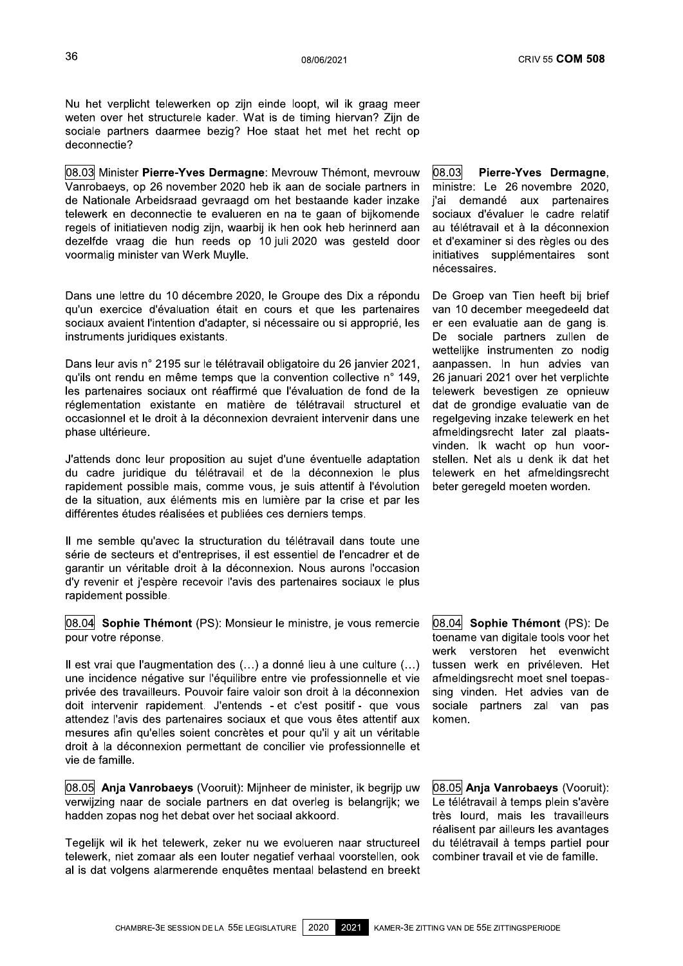Nu het verplicht telewerken op zijn einde loopt, wil ik graag meer weten over het structurele kader. Wat is de timing hiervan? Zijn de sociale partners daarmee bezig? Hoe staat het met het recht op deconnectie?

08.03 Minister Pierre-Yves Dermagne: Mevrouw Thémont, mevrouw Vanrobaevs, op 26 november 2020 heb ik aan de sociale partners in de Nationale Arbeidsraad gevraagd om het bestaande kader inzake telewerk en deconnectie te evalueren en na te gaan of bijkomende regels of initiatieven nodig zijn, waarbij ik hen ook heb herinnerd aan dezelfde vraag die hun reeds op 10 juli 2020 was gesteld door voormalig minister van Werk Muylle.

Dans une lettre du 10 décembre 2020, le Groupe des Dix a répondu qu'un exercice d'évaluation était en cours et que les partenaires sociaux avaient l'intention d'adapter, si nécessaire ou si approprié, les instruments juridiques existants.

Dans leur avis n° 2195 sur le télétravail obligatoire du 26 janvier 2021. qu'ils ont rendu en même temps que la convention collective n° 149, les partenaires sociaux ont réaffirmé que l'évaluation de fond de la réglementation existante en matière de télétravail structurel et occasionnel et le droit à la déconnexion devraient intervenir dans une phase ultérieure.

J'attends donc leur proposition au sujet d'une éventuelle adaptation du cadre juridique du télétravail et de la déconnexion le plus rapidement possible mais, comme vous, je suis attentif à l'évolution de la situation, aux éléments mis en lumière par la crise et par les différentes études réalisées et publiées ces derniers temps.

Il me semble qu'avec la structuration du télétravail dans toute une série de secteurs et d'entreprises, il est essentiel de l'encadrer et de garantir un véritable droit à la déconnexion. Nous aurons l'occasion d'y revenir et j'espère recevoir l'avis des partenaires sociaux le plus rapidement possible.

08.04 Sophie Thémont (PS): Monsieur le ministre, je vous remercie pour votre réponse.

Il est vrai que l'augmentation des (...) a donné lieu à une culture (...) une incidence négative sur l'équilibre entre vie professionnelle et vie privée des travailleurs. Pouvoir faire valoir son droit à la déconnexion doit intervenir rapidement. J'entends - et c'est positif - que vous attendez l'avis des partenaires sociaux et que vous êtes attentif aux mesures afin qu'elles soient concrètes et pour qu'il y ait un véritable droit à la déconnexion permettant de concilier vie professionnelle et vie de famille.

08.05 Anja Vanrobaeys (Vooruit): Mijnheer de minister, ik begrijp uw verwijzing naar de sociale partners en dat overleg is belangrijk; we hadden zopas nog het debat over het sociaal akkoord.

Tegelijk wil ik het telewerk, zeker nu we evolueren naar structureel telewerk, niet zomaar als een louter negatief verhaal voorstellen, ook al is dat volgens alarmerende enquêtes mentaal belastend en breekt

08.03 Pierre-Yves Dermagne, ministre: Le 26 novembre 2020. i'ai demandé aux partenaires sociaux d'évaluer le cadre relatif au télétravail et à la déconnexion et d'examiner si des règles ou des initiatives supplémentaires sont nécessaires.

De Groep van Tien heeft bij brief van 10 december meegedeeld dat er een evaluatie aan de gang is. De sociale partners zullen de wettelijke instrumenten zo nodig aanpassen. In hun advies van 26 januari 2021 over het verplichte telewerk bevestigen ze opnieuw dat de grondige evaluatie van de regelgeving inzake telewerk en het afmeldingsrecht later zal plaatsvinden. Ik wacht op hun voorstellen. Net als u denk ik dat het telewerk en het afmeldingsrecht beter geregeld moeten worden.

08.04 Sophie Thémont (PS): De toename van digitale tools voor het werk verstoren het evenwicht tussen werk en privéleven. Het afmeldingsrecht moet snel toepassing vinden. Het advies van de sociale partners zal van pas komen.

08.05 Anja Vanrobaeys (Vooruit): Le télétravail à temps plein s'avère très lourd, mais les travailleurs réalisent par ailleurs les avantages du télétravail à temps partiel pour combiner travail et vie de famille.